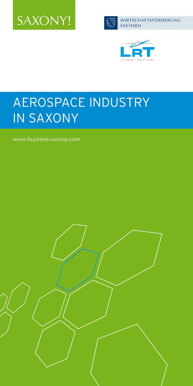





# AEROSPACE INDUSTRY IN SAXONY

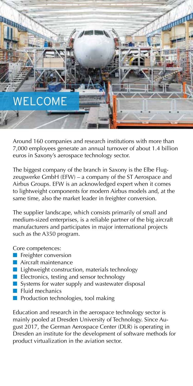

Around 160 companies and research institutions with more than 7,000 employees generate an annual turnover of about 1.4 billion euros in Saxony's aerospace technology sector.

The biggest company of the branch in Saxony is the Elbe Flugzeugwerke GmbH (EFW) – a company of the ST Aerospace and Airbus Groups. EFW is an acknowledged expert when it comes to lightweight components for modern Airbus models and, at the same time, also the market leader in freighter conversion.

The supplier landscape, which consists primarily of small and medium-sized enterprises, is a reliable partner of the big aircraft manufacturers and participates in major international projects such as the A350 program.

Core competences:

- **n** Freighter conversion
- $\blacksquare$  Aircraft maintenance
- $\blacksquare$  Lightweight construction, materials technology
- $\blacksquare$  Electronics, testing and sensor technology
- Systems for water supply and wastewater disposal
- $\blacksquare$  Fluid mechanics
- Production technologies, tool making

Education and research in the aerospace technology sector is mainly pooled at Dresden University of Technology. Since August 2017, the German Aerospace Center (DLR) is operating in Dresden an institute for the development of software methods for product virtualization in the aviation sector.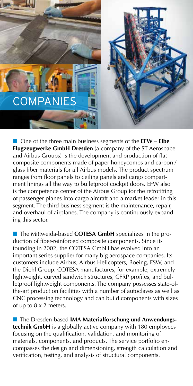

■ One of the three main business segments of the **EFW** – **Elbe Flugzeugwerke GmbH Dresden** (a company of the ST Aerospace and Airbus Groups) is the development and production of flat composite components made of paper honeycombs and carbon / glass fiber materials for all Airbus models. The product spectrum ranges from floor panels to ceiling panels and cargo compartment linings all the way to bulletproof cockpit doors. EFW also is the competence center of the Airbus Group for the retrofitting of passenger planes into cargo aircraft and a market leader in this segment. The third business segment is the maintenance, repair, and overhaul of airplanes. The company is continuously expanding this sector.

**n** The Mittweida-based **COTESA GmbH** specializes in the production of fiber-reinforced composite components. Since its founding in 2002, the COTESA GmbH has evolved into an important series supplier for many big aerospace companies. Its customers include Airbus, Airbus Helicopters, Boeing, ESW, and the Diehl Group. COTESA manufactures, for example, extremely lightweight, curved sandwich structures, CFRP profiles, and bulletproof lightweight components. The company possesses state-ofthe-art production facilities with a number of autoclaves as well as CNC processing technology and can build components with sizes of up to 8 x 2 meters.

**n** The Dresden-based **IMA Materialforschung und Anwendungstechnik GmbH** is a globally active company with 180 employees focusing on the qualification, validation, and monitoring of materials, components, and products. The service portfolio encompasses the design and dimensioning, strength calculation and verification, testing, and analysis of structural components.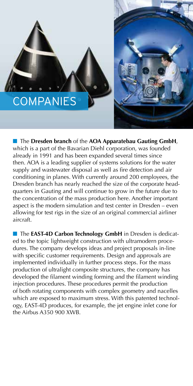# **COMPANIES**



n The **Dresden branch** of the **AOA Apparatebau Gauting GmbH**, which is a part of the Bavarian Diehl corporation, was founded already in 1991 and has been expanded several times since then. AOA is a leading supplier of systems solutions for the water supply and wastewater disposal as well as fire detection and air conditioning in planes. With currently around 200 employees, the Dresden branch has nearly reached the size of the corporate headquarters in Gauting and will continue to grow in the future due to the concentration of the mass production here. Another important aspect is the modern simulation and test center in Dresden – even allowing for test rigs in the size of an original commercial airliner aircraft.

**n** The **EAST-4D Carbon Technology GmbH** in Dresden is dedicated to the topic lightweight construction with ultramodern procedures. The company develops ideas and project proposals in-line with specific customer requirements. Design and approvals are implemented individually in further process steps. For the mass production of ultralight composite structures, the company has developed the filament winding forming and the filament winding injection procedures. These procedures permit the production of both rotating components with complex geometry and nacelles which are exposed to maximum stress. With this patented technology, EAST-4D produces, for example, the jet engine inlet cone for the Airbus A350 900 XWB.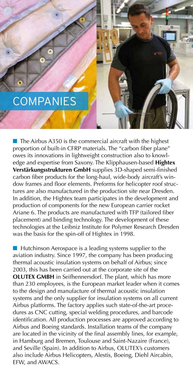### **COMPANIES**

 $\blacksquare$  The Airbus A350 is the commercial aircraft with the highest proportion of built-in CFRP materials. The "carbon fiber plane" owes its innovations in lightweight construction also to knowledge and expertise from Saxony. The Klipphausen-based **Hightex Verstärkungsstrukturen GmbH** supplies 3D-shaped semi-finished carbon fiber products for the long-haul, wide-body aircraft's window frames and floor elements. Preforms for helicopter roof structures are also manufactured in the production site near Dresden. In addition, the Hightex team participates in the development and production of components for the new European carrier rocket Ariane 6. The products are manufactured with TFP (tailored fiber placement) and binding technology. The development of these technologies at the Leibniz Institute for Polymer Research Dresden was the basis for the spin-off of Hightex in 1998.

 $\blacksquare$  Hutchinson Aerospace is a leading systems supplier to the aviation industry. Since 1997, the company has been producing thermal acoustic insulation systems on behalf of Airbus; since 2003, this has been carried out at the corporate site of the **OLUTEX GMBH** in Seifhennersdorf. The plant, which has more than 230 employees, is the European market leader when it comes to the design and manufacture of thermal acoustic insulation systems and the only supplier for insulation systems on all current Airbus platforms. The factory applies such state-of-the-art procedures as CNC cutting, special welding procedures, and barcode identification. All production processes are approved according to Airbus and Boeing standards. Installation teams of the company are located in the vicinity of the final assembly lines, for example, in Hamburg and Bremen, Toulouse and Saint-Nazaire (France), and Seville (Spain). In addition to Airbus, OLUTEX's customers also include Airbus Helicopters, Alestis, Boeing, Diehl Aircabin, EFW, and AWACS.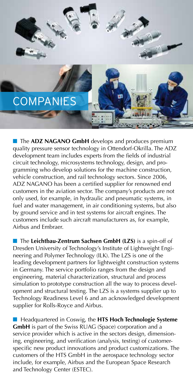## **COMPANIES**

**n** The **ADZ NAGANO GmbH** develops and produces premium quality pressure sensor technology in Ottendorf-Okrilla. The ADZ development team includes experts from the fields of industrial circuit technology, microsystems technology, design, and programming who develop solutions for the machine construction, vehicle construction, and rail technology sectors. Since 2006, ADZ NAGANO has been a certified supplier for renowned end customers in the aviation sector. The company's products are not only used, for example, in hydraulic and pneumatic systems, in fuel and water management, in air conditioning systems, but also by ground service and in test systems for aircraft engines. The customers include such aircraft manufacturers as, for example, Airbus and Embraer.

■ The Leichtbau-Zentrum Sachsen GmbH (LZS) is a spin-off of Dresden University of Technology's Institute of Lightweight Engineering and Polymer Technology (ILK). The LZS is one of the leading development partners for lightweight construction systems in Germany. The service portfolio ranges from the design and engineering, material characterization, structural and process simulation to prototype construction all the way to process development and structural testing. The LZS is a systems supplier up to Technology Readiness Level 6 and an acknowledged development supplier for Rolls-Royce and Airbus.

**n** Headquartered in Coswig, the **HTS Hoch Technologie Systeme GmbH** is part of the Swiss RUAG (Space) corporation and a service provider which is active in the sectors design, dimensioning, engineering, and verification (analysis, testing) of customerspecific new product innovations and product customizations. The customers of the HTS GmbH in the aerospace technology sector include, for example, Airbus and the European Space Research and Technology Center (ESTEC).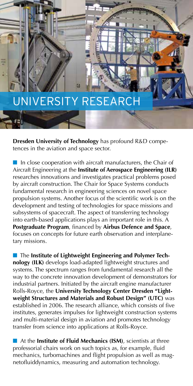### UNIVERSITY RESEARCH

**Dresden University of Technology** has profound R&D competences in the aviation and space sector.

 $\blacksquare$  In close cooperation with aircraft manufacturers, the Chair of Aircraft Engineering at the **Institute of Aerospace Engineering (ILR)** researches innovations and investigates practical problems posed by aircraft construction. The Chair for Space Systems conducts fundamental research in engineering sciences on novel space propulsion systems. Another focus of the scientific work is on the development and testing of technologies for space missions and subsystems of spacecraft. The aspect of transferring technology into earth-based applications plays an important role in this. A **Postgraduate Program**, financed by **Airbus Defence and Space**, focuses on concepts for future earth observation and interplanetary missions.

**n** The Institute of Lightweight Engineering and Polymer Tech**nology (ILK)** develops load-adapted lightweight structures and systems. The spectrum ranges from fundamental research all the way to the concrete innovation development of demonstrators for industrial partners. Initiated by the aircraft engine manufacturer Rolls-Royce, the **University Technology Center Dresden "Lightweight Structures and Materials and Robust Design" (UTC)** was established in 2006. The research alliance, which consists of five institutes, generates impulses for lightweight construction systems and multi-material design in aviation and promotes technology transfer from science into applications at Rolls-Royce.

**n** At the **Institute of Fluid Mechanics (ISM)**, scientists at three professorial chairs work on such topics as, for example, fluid mechanics, turbomachines and flight propulsion as well as magnetofluiddynamics, measuring and automation technology.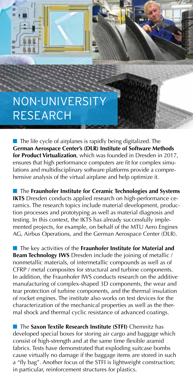# NON-UNIVERSITY RESEARCH

 $\blacksquare$  The life cycle of airplanes is rapidly being digitalized. The **German Aerospace Center's (DLR) Institute of Software Methods for Product Virtualization**, which was founded in Dresden in 2017, ensures that high performance computers are fit for complex simulations and multidisciplinary software platforms provide a comprehensive analysis of the virtual airplane and help optimize it.

**n** The **Fraunhofer Institute for Ceramic Technologies and Systems IKTS** Dresden conducts applied research on high-performance ceramics. The research topics include material development, production processes and prototyping as well as material diagnosis and testing. In this context, the IKTS has already successfully implemented projects, for example, on behalf of the MTU Aero Engines AG, Airbus Operations, and the German Aerospace Center (DLR).

■ The key activities of the **Fraunhofer Institute for Material and Beam Technology IWS** Dresden include the joining of metallic / nonmetallic materials, of intermetallic compounds as well as of CFRP / metal composites for structural and turbine components. In addition, the Fraunhofer IWS conducts research on the additive manufacturing of complex-shaped 3D components, the wear and tear protection of turbine components, and the thermal insulation of rocket engines. The institute also works on test devices for the characterization of the mechanical properties as well as the thermal shock and thermal cyclic resistance of advanced coatings.

n The **Saxon Textile Research Institute (STFI)** Chemnitz has developed special boxes for storing air cargo and baggage which consist of high-strength and at the same time flexible aramid fabrics. Tests have demonstrated that exploding suitcase bombs cause virtually no damage if the baggage items are stored in such a "fly bag". Another focus of the STFI is lightweight construction; in particular, reinforcement structures for plastics.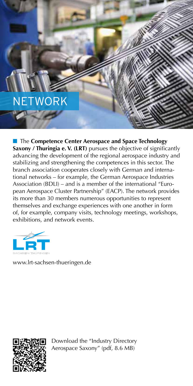# NETWORK

**n** The **Competence Center Aerospace and Space Technology Saxony / Thuringia e. V. (LRT)** pursues the objective of significantly advancing the development of the regional aerospace industry and stabilizing and strengthening the competences in this sector. The branch association cooperates closely with German and international networks – for example, the German Aerospace Industries Association (BDLI) – and is a member of the international "European Aerospace Cluster Partnership" (EACP). The network provides its more than 30 members numerous opportunities to represent themselves and exchange experiences with one another in form of, for example, company visits, technology meetings, workshops, exhibitions, and network events.



www.lrt-sachsen-thueringen.de



Download the "Industry Directory Aerospace Saxony" (pdf, 8.6 MB)